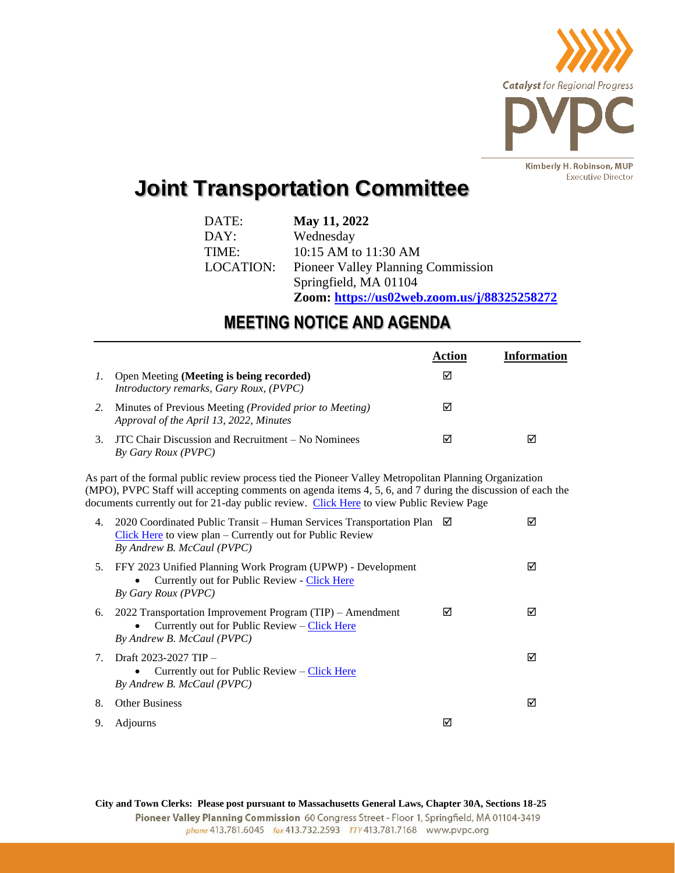

## **Joint Transportation Committee**

| DATE:     | May 11, 2022                                |
|-----------|---------------------------------------------|
| DAY:      | Wednesday                                   |
| TIME:     | 10:15 AM to 11:30 AM                        |
| LOCATION: | <b>Pioneer Valley Planning Commission</b>   |
|           | Springfield, MA 01104                       |
|           | Zoom: https://us02web.zoom.us/j/88325258272 |

## **MEETING NOTICE AND AGENDA**

|    |                                                                                                                                                                                                                                                                                                                 | Action | Information |
|----|-----------------------------------------------------------------------------------------------------------------------------------------------------------------------------------------------------------------------------------------------------------------------------------------------------------------|--------|-------------|
| 1. | Open Meeting (Meeting is being recorded)<br>Introductory remarks, Gary Roux, (PVPC)                                                                                                                                                                                                                             | ☑      |             |
| 2. | Minutes of Previous Meeting ( <i>Provided prior to Meeting</i> )<br>Approval of the April 13, 2022, Minutes                                                                                                                                                                                                     | ☑      |             |
| 3. | JTC Chair Discussion and Recruitment – No Nominees<br>By Gary Roux (PVPC)                                                                                                                                                                                                                                       | ☑      | ☑           |
|    | As part of the formal public review process tied the Pioneer Valley Metropolitan Planning Organization<br>(MPO), PVPC Staff will accepting comments on agenda items 4, 5, 6, and 7 during the discussion of each the<br>documents currently out for 21-day public review. Click Here to view Public Review Page |        |             |

| 4.                               | 2020 Coordinated Public Transit – Human Services Transportation Plan $\boxtimes$<br>$Click$ Here to view plan – Currently out for Public Review<br>By Andrew B. McCaul (PVPC) |   | ⋈ |
|----------------------------------|-------------------------------------------------------------------------------------------------------------------------------------------------------------------------------|---|---|
| 5.                               | FFY 2023 Unified Planning Work Program (UPWP) - Development<br>Currently out for Public Review - Click Here<br>By Gary Roux (PVPC)                                            |   | м |
| 6.                               | 2022 Transportation Improvement Program $(TIP)$ – Amendment<br>Currently out for Public Review – Click Here<br>$\bullet$<br>By Andrew B. McCaul (PVPC)                        | М | 罓 |
| $7_{\scriptscriptstyle{\ddots}}$ | Draft 2023-2027 TIP –<br>Currently out for Public Review $-$ Click Here<br>٠<br>By Andrew B. McCaul (PVPC)                                                                    |   | M |
| 8.                               | <b>Other Business</b>                                                                                                                                                         |   | м |
| 9.                               | Adjourns                                                                                                                                                                      | M |   |